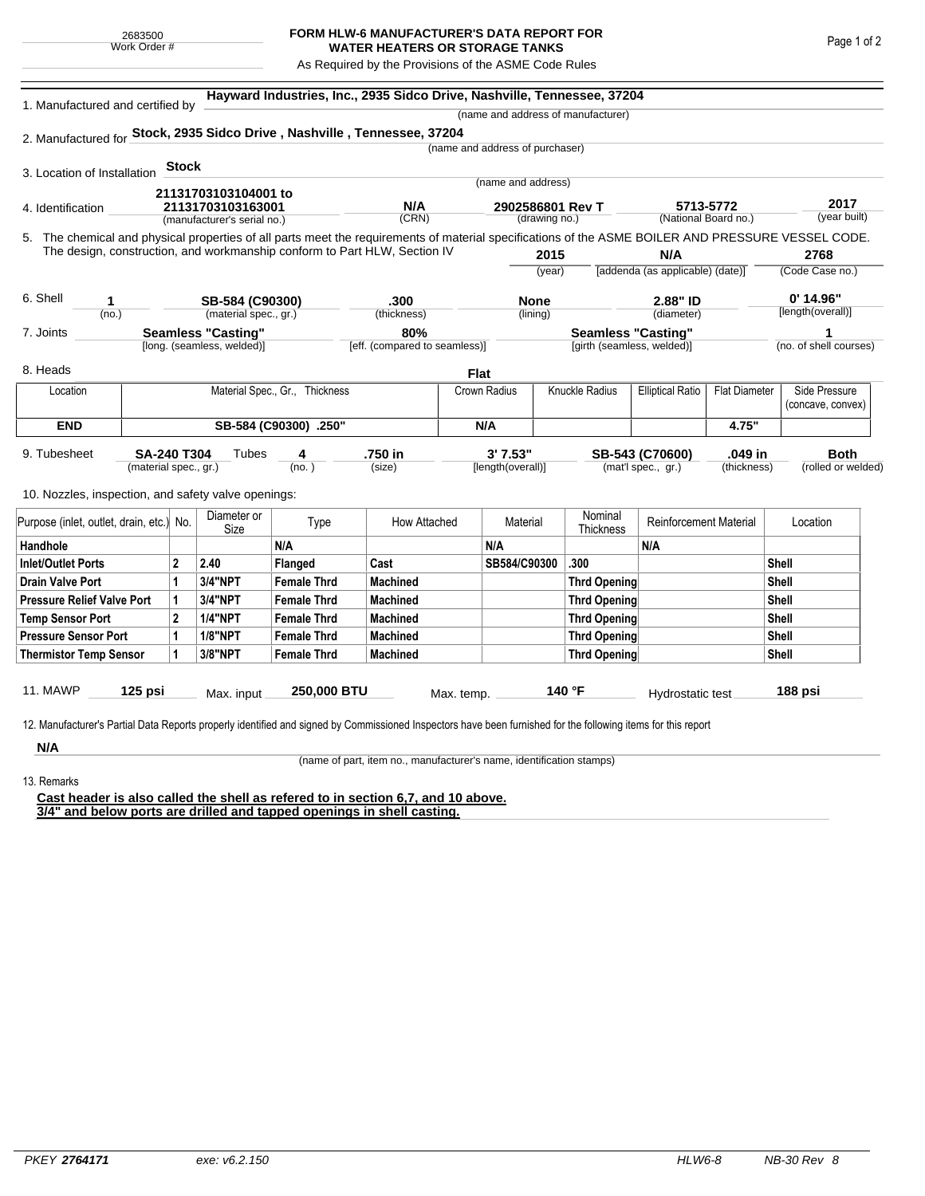## **FORM HLW-6 MANUFACTURER'S DATA REPORT FOR WATER HEATERS OR STORAGE TANKS**

As Required by the Provisions of the ASME Code Rules

| 1. Manufactured and certified by                                                                                                                   |                                                         |              | Hayward Industries, Inc., 2935 Sidco Drive, Nashville, Tennessee, 37204<br>(name and address of manufacturer) |                                |                                      |             |                                   |              |                                  |                                                 |                                   |              |                    |  |
|----------------------------------------------------------------------------------------------------------------------------------------------------|---------------------------------------------------------|--------------|---------------------------------------------------------------------------------------------------------------|--------------------------------|--------------------------------------|-------------|-----------------------------------|--------------|----------------------------------|-------------------------------------------------|-----------------------------------|--------------|--------------------|--|
| 2. Manufactured for Stock, 2935 Sidco Drive, Nashville, Tennessee, 37204                                                                           |                                                         |              |                                                                                                               |                                |                                      |             |                                   |              |                                  |                                                 |                                   |              |                    |  |
|                                                                                                                                                    |                                                         |              |                                                                                                               |                                |                                      |             | (name and address of purchaser)   |              |                                  |                                                 |                                   |              |                    |  |
|                                                                                                                                                    |                                                         | <b>Stock</b> |                                                                                                               |                                |                                      |             |                                   |              |                                  |                                                 |                                   |              |                    |  |
| 3. Location of Installation                                                                                                                        |                                                         |              |                                                                                                               |                                |                                      |             | (name and address)                |              |                                  |                                                 |                                   |              |                    |  |
|                                                                                                                                                    |                                                         |              | 21131703103104001 to                                                                                          |                                | N/A                                  |             |                                   |              |                                  |                                                 |                                   |              | 2017               |  |
| 4. Identification                                                                                                                                  |                                                         |              | 21131703103163001<br>(manufacturer's serial no.)                                                              |                                | (CRN)                                |             | 2902586801 Rev T<br>(drawing no.) |              |                                  |                                                 | 5713-5772<br>(National Board no.) |              | (year built)       |  |
| 5. The chemical and physical properties of all parts meet the requirements of material specifications of the ASME BOILER AND PRESSURE VESSEL CODE. |                                                         |              |                                                                                                               |                                |                                      |             |                                   |              |                                  |                                                 |                                   |              |                    |  |
|                                                                                                                                                    |                                                         |              | The design, construction, and workmanship conform to Part HLW, Section IV                                     |                                |                                      |             | 2015                              |              |                                  | N/A                                             |                                   | 2768         |                    |  |
|                                                                                                                                                    |                                                         |              |                                                                                                               |                                |                                      |             | (year)                            |              | [addenda (as applicable) (date)] |                                                 |                                   |              | (Code Case no.)    |  |
|                                                                                                                                                    |                                                         |              |                                                                                                               |                                |                                      |             |                                   |              |                                  |                                                 |                                   |              |                    |  |
| 6. Shell<br>1<br>(no.)                                                                                                                             |                                                         |              | SB-584 (C90300)                                                                                               | .300                           |                                      | <b>None</b> |                                   |              |                                  | 2.88" ID                                        |                                   | $0'$ 14.96"  |                    |  |
|                                                                                                                                                    |                                                         |              | (material spec., gr.)                                                                                         |                                | (thickness)                          |             | (lining)                          |              |                                  | (diameter)                                      |                                   |              | [length(overall)]  |  |
| 7. Joints                                                                                                                                          | <b>Seamless "Casting"</b><br>[long. (seamless, welded)] |              |                                                                                                               |                                | 80%<br>[eff. (compared to seamless)] |             | <b>Seamless "Casting"</b>         |              |                                  |                                                 | (no. of shell courses)            |              |                    |  |
|                                                                                                                                                    |                                                         |              |                                                                                                               |                                |                                      |             |                                   |              | [girth (seamless, welded)]       |                                                 |                                   |              |                    |  |
| 8. Heads                                                                                                                                           |                                                         |              |                                                                                                               |                                |                                      | <b>Flat</b> |                                   |              |                                  |                                                 |                                   |              |                    |  |
| Location                                                                                                                                           |                                                         |              |                                                                                                               | Material Spec., Gr., Thickness |                                      |             | Knuckle Radius<br>Crown Radius    |              |                                  | <b>Elliptical Ratio</b><br><b>Flat Diameter</b> |                                   |              | Side Pressure      |  |
|                                                                                                                                                    |                                                         |              |                                                                                                               |                                |                                      |             |                                   |              |                                  |                                                 |                                   |              | (concave, convex)  |  |
| <b>END</b>                                                                                                                                         | SB-584 (C90300) .250"                                   |              |                                                                                                               |                                | N/A                                  |             |                                   |              |                                  | 4.75"                                           |                                   |              |                    |  |
| 9. Tubesheet                                                                                                                                       | <b>SA-240 T304</b>                                      |              | Tubes                                                                                                         | 4                              | .750 in                              |             | 3' 7.53"                          |              |                                  | SB-543 (C70600)                                 | .049 in                           |              | <b>Both</b>        |  |
|                                                                                                                                                    | (material spec., gr.)                                   |              |                                                                                                               | (no.)                          | (size)                               |             | [length(overall)]                 |              |                                  | (mat'l spec., gr.)                              | (thickness)                       |              | (rolled or welded) |  |
|                                                                                                                                                    |                                                         |              |                                                                                                               |                                |                                      |             |                                   |              |                                  |                                                 |                                   |              |                    |  |
| 10. Nozzles, inspection, and safety valve openings:                                                                                                |                                                         |              |                                                                                                               |                                |                                      |             |                                   |              |                                  |                                                 |                                   |              |                    |  |
| Purpose (inlet, outlet, drain, etc.) No.                                                                                                           |                                                         |              | Diameter or<br>Size                                                                                           | Type                           | How Attached                         |             | Material                          |              | Nominal<br>Thickness             | <b>Reinforcement Material</b>                   |                                   | Location     |                    |  |
| Handhole                                                                                                                                           |                                                         |              |                                                                                                               | N/A                            |                                      |             | N/A                               |              |                                  | N/A                                             |                                   |              |                    |  |
| <b>Inlet/Outlet Ports</b>                                                                                                                          |                                                         | $\mathbf{2}$ | 2.40                                                                                                          | Flanged                        | Cast                                 |             | SB584/C90300                      |              | .300                             |                                                 |                                   | Shell        |                    |  |
| <b>Drain Valve Port</b>                                                                                                                            |                                                         | 1            | <b>3/4"NPT</b>                                                                                                | <b>Female Thrd</b>             | <b>Machined</b>                      |             |                                   |              | <b>Thrd Opening</b>              |                                                 |                                   | Shell        |                    |  |
| <b>Pressure Relief Valve Port</b>                                                                                                                  |                                                         | 1            | 3/4"NPT                                                                                                       | <b>Female Thrd</b>             | <b>Machined</b>                      |             |                                   |              | Thrd Opening                     |                                                 | Shell                             |              |                    |  |
| <b>Temp Sensor Port</b>                                                                                                                            |                                                         | $\mathbf{2}$ | <b>1/4"NPT</b>                                                                                                | <b>Female Thrd</b>             | <b>Machined</b>                      |             |                                   | Thrd Opening |                                  |                                                 |                                   | <b>Shell</b> |                    |  |
| <b>Pressure Sensor Port</b>                                                                                                                        |                                                         | 1            | <b>1/8"NPT</b>                                                                                                | <b>Female Thrd</b>             | <b>Machined</b>                      |             |                                   | Thrd Opening |                                  |                                                 |                                   | <b>Shell</b> |                    |  |
| <b>Thermistor Temp Sensor</b>                                                                                                                      |                                                         | 1            | 3/8"NPT                                                                                                       | <b>Female Thrd</b>             | <b>Machined</b>                      |             |                                   |              | Thrd Opening                     |                                                 |                                   | Shell        |                    |  |
|                                                                                                                                                    |                                                         |              |                                                                                                               |                                |                                      |             |                                   |              |                                  |                                                 |                                   |              |                    |  |
| 11. MAWP                                                                                                                                           | $125$ psi                                               |              | Max. input                                                                                                    | 250,000 BTU                    |                                      | Max. temp.  |                                   |              | 140 °F                           | Hydrostatic test                                |                                   | 188 psi      |                    |  |

**N/A** 13. Remarks

(name of part, item no., manufacturer's name, identification stamps)

**Cast header is also called the shell as refered to in section 6,7, and 10 above. 3/4" and below ports are drilled and tapped openings in shell casting.**